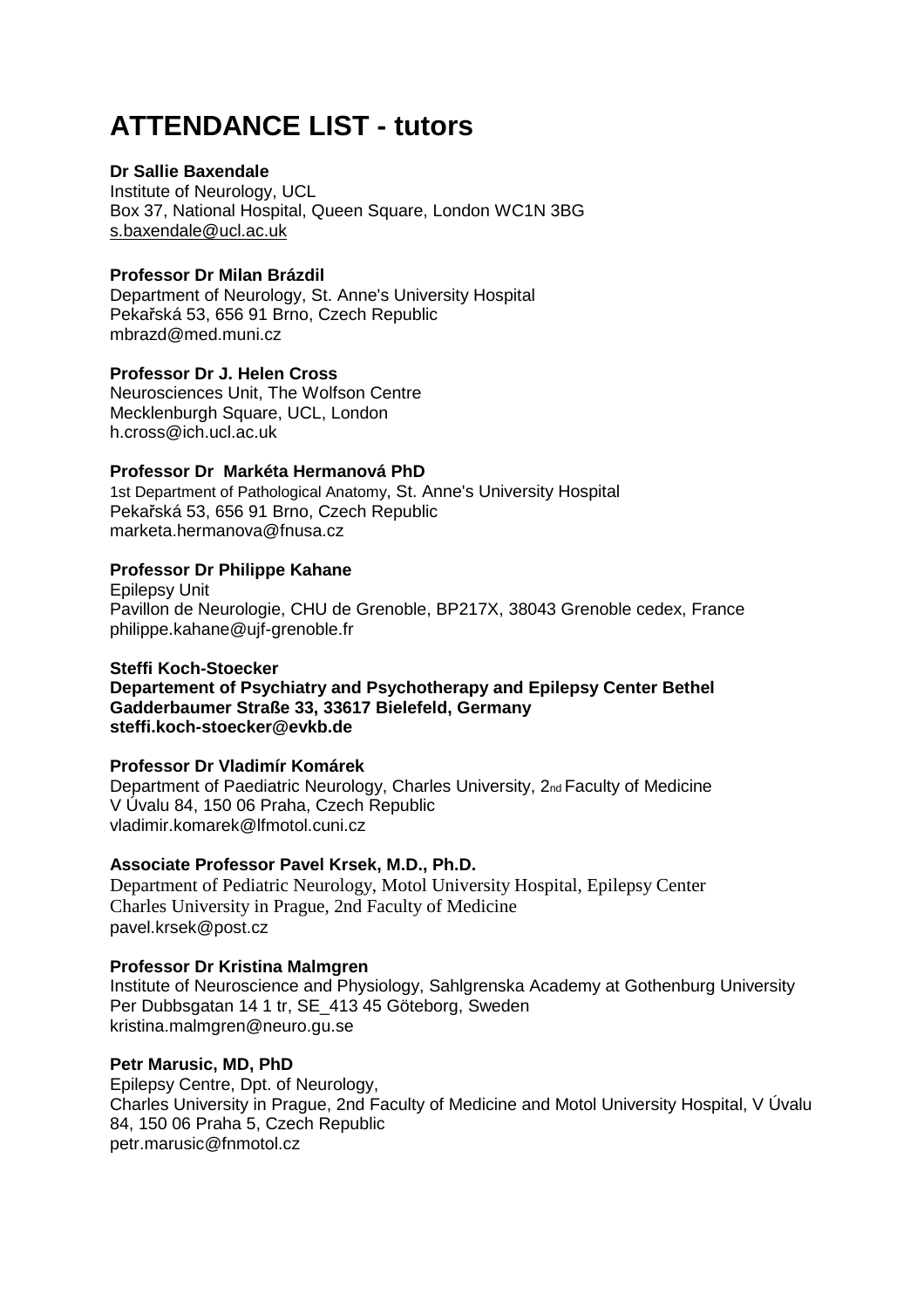# **ATTENDANCE LIST - tutors**

# **Dr Sallie Baxendale**

Institute of Neurology, UCL Box 37, National Hospital, Queen Square, London WC1N 3BG s.baxendale@ucl.ac.uk

# **Professor Dr Milan Brázdil**

Department of Neurology, St. Anne's University Hospital Pekařská 53, 656 91 Brno, Czech Republic mbrazd@med.muni.cz

### **Professor Dr J. Helen Cross**

Neurosciences Unit, The Wolfson Centre Mecklenburgh Square, UCL, London h.cross@ich.ucl.ac.uk

# **Professor Dr Markéta Hermanová PhD**

1st Department of Pathological Anatomy, St. Anne's University Hospital Pekařská 53, 656 91 Brno, Czech Republic marketa.hermanova@fnusa.cz

# **Professor Dr Philippe Kahane**

Epilepsy Unit Pavillon de Neurologie, CHU de Grenoble, BP217X, 38043 Grenoble cedex, France philippe.kahane@ujf-grenoble.fr

#### **Steffi Koch-Stoecker**

**Departement of Psychiatry and Psychotherapy and Epilepsy Center Bethel Gadderbaumer Straße 33, 33617 Bielefeld, Germany steffi.koch-stoecker@evkb.de** 

#### **Professor Dr Vladimír Komárek**

Department of Paediatric Neurology, Charles University, 2nd Faculty of Medicine V Úvalu 84, 150 06 Praha, Czech Republic vladimir.komarek@lfmotol.cuni.cz

#### **Associate Professor Pavel Krsek, M.D., Ph.D.**

Department of Pediatric Neurology, Motol University Hospital, Epilepsy Center Charles University in Prague, 2nd Faculty of Medicine pavel.krsek@post.cz

#### **Professor Dr Kristina Malmgren**

Institute of Neuroscience and Physiology, Sahlgrenska Academy at Gothenburg University Per Dubbsgatan 14 1 tr, SE\_413 45 Göteborg, Sweden kristina.malmgren@neuro.gu.se

#### **Petr Marusic, MD, PhD**

Epilepsy Centre, Dpt. of Neurology, Charles University in Prague, 2nd Faculty of Medicine and Motol University Hospital, V Úvalu 84, 150 06 Praha 5, Czech Republic petr.marusic@fnmotol.cz